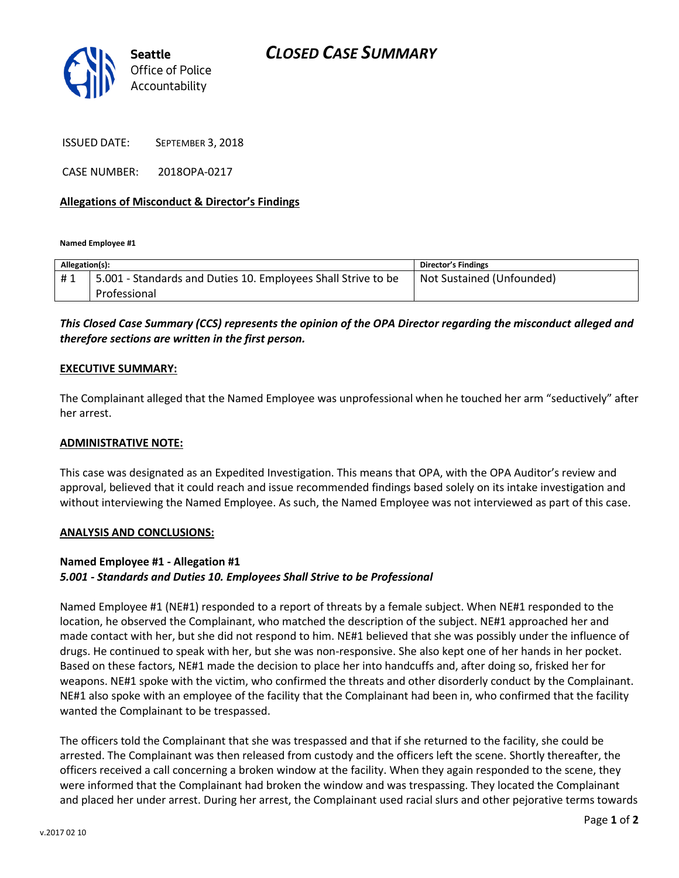

ISSUED DATE: SEPTEMBER 3, 2018

CASE NUMBER: 2018OPA-0217

## **Allegations of Misconduct & Director's Findings**

**Named Employee #1**

| Allegation(s): |                                                               | <b>Director's Findings</b> |
|----------------|---------------------------------------------------------------|----------------------------|
| #1             | 5.001 - Standards and Duties 10. Employees Shall Strive to be | Not Sustained (Unfounded)  |
|                | Professional                                                  |                            |

# *This Closed Case Summary (CCS) represents the opinion of the OPA Director regarding the misconduct alleged and therefore sections are written in the first person.*

## **EXECUTIVE SUMMARY:**

The Complainant alleged that the Named Employee was unprofessional when he touched her arm "seductively" after her arrest.

#### **ADMINISTRATIVE NOTE:**

This case was designated as an Expedited Investigation. This means that OPA, with the OPA Auditor's review and approval, believed that it could reach and issue recommended findings based solely on its intake investigation and without interviewing the Named Employee. As such, the Named Employee was not interviewed as part of this case.

#### **ANALYSIS AND CONCLUSIONS:**

#### **Named Employee #1 - Allegation #1**

#### *5.001 - Standards and Duties 10. Employees Shall Strive to be Professional*

Named Employee #1 (NE#1) responded to a report of threats by a female subject. When NE#1 responded to the location, he observed the Complainant, who matched the description of the subject. NE#1 approached her and made contact with her, but she did not respond to him. NE#1 believed that she was possibly under the influence of drugs. He continued to speak with her, but she was non-responsive. She also kept one of her hands in her pocket. Based on these factors, NE#1 made the decision to place her into handcuffs and, after doing so, frisked her for weapons. NE#1 spoke with the victim, who confirmed the threats and other disorderly conduct by the Complainant. NE#1 also spoke with an employee of the facility that the Complainant had been in, who confirmed that the facility wanted the Complainant to be trespassed.

The officers told the Complainant that she was trespassed and that if she returned to the facility, she could be arrested. The Complainant was then released from custody and the officers left the scene. Shortly thereafter, the officers received a call concerning a broken window at the facility. When they again responded to the scene, they were informed that the Complainant had broken the window and was trespassing. They located the Complainant and placed her under arrest. During her arrest, the Complainant used racial slurs and other pejorative terms towards